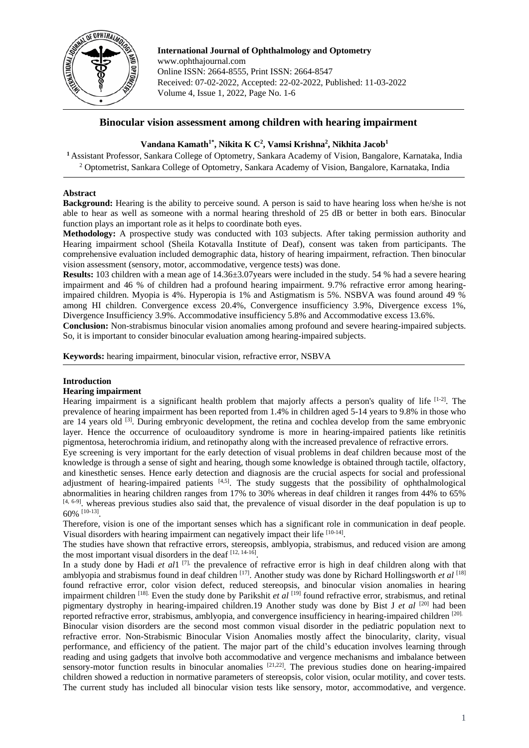

**International Journal of Ophthalmology and Optometry** www.ophthajournal.com Online ISSN: 2664-8555, Print ISSN: 2664-8547 Received: 07-02-2022, Accepted: 22-02-2022, Published: 11-03-2022 Volume 4, Issue 1, 2022, Page No. 1-6

# **Binocular vision assessment among children with hearing impairment**

# **Vandana Kamath1\* , Nikita K C<sup>2</sup> , Vamsi Krishna<sup>2</sup> , Nikhita Jacob<sup>1</sup>**

**<sup>1</sup>** Assistant Professor, Sankara College of Optometry, Sankara Academy of Vision, Bangalore, Karnataka, India <sup>2</sup> Optometrist, Sankara College of Optometry, Sankara Academy of Vision, Bangalore, Karnataka, India

### **Abstract**

**Background:** Hearing is the ability to perceive sound. A person is said to have hearing loss when he/she is not able to hear as well as someone with a normal hearing threshold of 25 dB or better in both ears. Binocular function plays an important role as it helps to coordinate both eyes.

**Methodology:** A prospective study was conducted with 103 subjects. After taking permission authority and Hearing impairment school (Sheila Kotavalla Institute of Deaf), consent was taken from participants. The comprehensive evaluation included demographic data, history of hearing impairment, refraction. Then binocular vision assessment (sensory, motor, accommodative, vergence tests) was done.

**Results:** 103 children with a mean age of 14.36±3.07years were included in the study. 54 % had a severe hearing impairment and 46 % of children had a profound hearing impairment. 9.7% refractive error among hearingimpaired children. Myopia is 4%. Hyperopia is 1% and Astigmatism is 5%. NSBVA was found around 49 % among HI children. Convergence excess 20.4%, Convergence insufficiency 3.9%, Divergence excess 1%, Divergence Insufficiency 3.9%. Accommodative insufficiency 5.8% and Accommodative excess 13.6%.

**Conclusion:** Non-strabismus binocular vision anomalies among profound and severe hearing-impaired subjects. So, it is important to consider binocular evaluation among hearing-impaired subjects.

**Keywords:** hearing impairment, binocular vision, refractive error, NSBVA

#### **Introduction**

#### **Hearing impairment**

Hearing impairment is a significant health problem that majorly affects a person's quality of life [1-2]. The prevalence of hearing impairment has been reported from 1.4% in children aged 5-14 years to 9.8% in those who are 14 years old  $[3]$ . During embryonic development, the retina and cochlea develop from the same embryonic layer. Hence the occurrence of oculoauditory syndrome is more in hearing-impaired patients like retinitis pigmentosa, heterochromia iridium, and retinopathy along with the increased prevalence of refractive errors.

Eye screening is very important for the early detection of visual problems in deaf children because most of the knowledge is through a sense of sight and hearing, though some knowledge is obtained through tactile, olfactory, and kinesthetic senses. Hence early detection and diagnosis are the crucial aspects for social and professional adjustment of hearing-impaired patients  $[4,5]$ . The study suggests that the possibility of ophthalmological abnormalities in hearing children ranges from 17% to 30% whereas in deaf children it ranges from 44% to 65% [4, 6-9]. whereas previous studies also said that, the prevalence of visual disorder in the deaf population is up to 60% [10-13] .

Therefore, vision is one of the important senses which has a significant role in communication in deaf people. Visual disorders with hearing impairment can negatively impact their life [10-14].

The studies have shown that refractive errors, stereopsis, amblyopia, strabismus, and reduced vision are among the most important visual disorders in the deaf  $[12, 14-16]$ .

In a study done by Hadi et all <sup>[7],</sup> the prevalence of refractive error is high in deaf children along with that amblyopia and strabismus found in deaf children <sup>[17]</sup>. Another study was done by Richard Hollingsworth *et al* [<sup>18]</sup> found refractive error, color vision defect, reduced stereopsis, and binocular vision anomalies in hearing impairment children [18]. Even the study done by Parikshit *et al* [19] found refractive error, strabismus, and retinal pigmentary dystrophy in hearing-impaired children.19 Another study was done by Bist J *et al* [20] had been reported refractive error, strabismus, amblyopia, and convergence insufficiency in hearing-impaired children [20].

Binocular vision disorders are the second most common visual disorder in the pediatric population next to refractive error. Non-Strabismic Binocular Vision Anomalies mostly affect the binocularity, clarity, visual performance, and efficiency of the patient. The major part of the child's education involves learning through reading and using gadgets that involve both accommodative and vergence mechanisms and imbalance between sensory-motor function results in binocular anomalies  $[21,22]$ . The previous studies done on hearing-impaired children showed a reduction in normative parameters of stereopsis, color vision, ocular motility, and cover tests. The current study has included all binocular vision tests like sensory, motor, accommodative, and vergence.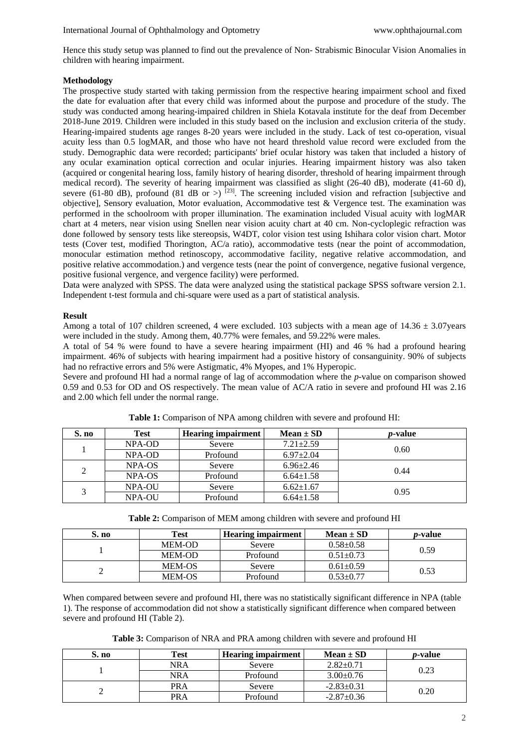Hence this study setup was planned to find out the prevalence of Non- Strabismic Binocular Vision Anomalies in children with hearing impairment.

# **Methodology**

The prospective study started with taking permission from the respective hearing impairment school and fixed the date for evaluation after that every child was informed about the purpose and procedure of the study. The study was conducted among hearing-impaired children in Shiela Kotavala institute for the deaf from December 2018-June 2019. Children were included in this study based on the inclusion and exclusion criteria of the study. Hearing-impaired students age ranges 8-20 years were included in the study. Lack of test co-operation, visual acuity less than 0.5 logMAR, and those who have not heard threshold value record were excluded from the study. Demographic data were recorded; participants' brief ocular history was taken that included a history of any ocular examination optical correction and ocular injuries. Hearing impairment history was also taken (acquired or congenital hearing loss, family history of hearing disorder, threshold of hearing impairment through medical record). The severity of hearing impairment was classified as slight (26-40 dB), moderate (41-60 d), severe (61-80 dB), profound (81 dB or  $>$ ) [23]. The screening included vision and refraction [subjective and objective], Sensory evaluation, Motor evaluation, Accommodative test & Vergence test. The examination was performed in the schoolroom with proper illumination. The examination included Visual acuity with logMAR chart at 4 meters, near vision using Snellen near vision acuity chart at 40 cm. Non-cycloplegic refraction was done followed by sensory tests like stereopsis, W4DT, color vision test using Ishihara color vision chart. Motor tests (Cover test, modified Thorington, AC/a ratio), accommodative tests (near the point of accommodation, monocular estimation method retinoscopy, accommodative facility, negative relative accommodation, and positive relative accommodation.) and vergence tests (near the point of convergence, negative fusional vergence, positive fusional vergence, and vergence facility) were performed.

Data were analyzed with SPSS. The data were analyzed using the statistical package SPSS software version 2.1. Independent t-test formula and chi-square were used as a part of statistical analysis.

### **Result**

Among a total of 107 children screened, 4 were excluded. 103 subjects with a mean age of  $14.36 \pm 3.07$ years were included in the study. Among them, 40.77% were females, and 59.22% were males.

A total of 54 % were found to have a severe hearing impairment (HI) and 46 % had a profound hearing impairment. 46% of subjects with hearing impairment had a positive history of consanguinity. 90% of subjects had no refractive errors and 5% were Astigmatic, 4% Myopes, and 1% Hyperopic.

Severe and profound HI had a normal range of lag of accommodation where the *p*-value on comparison showed 0.59 and 0.53 for OD and OS respectively. The mean value of AC/A ratio in severe and profound HI was 2.16 and 2.00 which fell under the normal range.

| S. no         | <b>Test</b>   | <b>Hearing impairment</b> | $Mean \pm SD$   | <i>p</i> -value |  |
|---------------|---------------|---------------------------|-----------------|-----------------|--|
|               | NPA-OD        | Severe                    | $7.21 \pm 2.59$ | 0.60            |  |
|               | NPA-OD        | Profound                  | $6.97 + 2.04$   |                 |  |
| $\mathcal{D}$ | NPA-OS        | Severe                    | $6.96 \pm 2.46$ | 0.44            |  |
|               | NPA-OS        | Profound                  | $6.64 \pm 1.58$ |                 |  |
| 2             | <b>NPA-OU</b> | Severe                    | $6.62 \pm 1.67$ | 0.95            |  |
|               | <b>NPA-OU</b> | Profound                  | $6.64 \pm 1.58$ |                 |  |

**Table 1:** Comparison of NPA among children with severe and profound HI:

|  |  | Table 2: Comparison of MEM among children with severe and profound HI |  |  |  |
|--|--|-----------------------------------------------------------------------|--|--|--|
|--|--|-----------------------------------------------------------------------|--|--|--|

| S. no | Test          | <b>Hearing impairment</b> | $Mean \pm SD$   | <i>p</i> -value |
|-------|---------------|---------------------------|-----------------|-----------------|
|       | <b>MEM-OD</b> | Severe                    | $0.58 + 0.58$   | 0.59            |
|       | <b>MEM-OD</b> | Profound                  | $0.51 + 0.73$   |                 |
|       | <b>MEM-OS</b> | Severe                    | $0.61 \pm 0.59$ | 0.53            |
|       | <b>MEM-OS</b> | Profound                  | $0.53 + 0.77$   |                 |

When compared between severe and profound HI, there was no statistically significant difference in NPA (table 1). The response of accommodation did not show a statistically significant difference when compared between severe and profound HI (Table 2).

**Table 3:** Comparison of NRA and PRA among children with severe and profound HI

| S. no | Test       | Hearing impairment | Mean $\pm$ SD    | <i>p</i> -value |
|-------|------------|--------------------|------------------|-----------------|
|       | <b>NRA</b> | Severe             | $2.82 \pm 0.71$  | 0.23            |
|       | NRA        | Profound           | $3.00\pm0.76$    |                 |
|       | <b>PRA</b> | Severe             | $-2.83 \pm 0.31$ |                 |
|       | <b>PRA</b> | Profound           | $-2.87 \pm 0.36$ | 0.20            |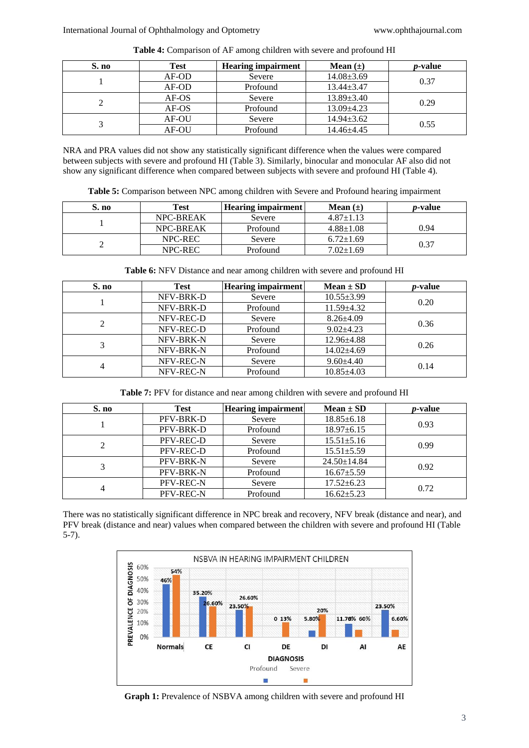| S. no | Test         | <b>Hearing impairment</b> | Mean $(\pm)$     | <i>p</i> -value |
|-------|--------------|---------------------------|------------------|-----------------|
|       | AF-OD        | Severe                    | $14.08 \pm 3.69$ | 0.37            |
|       | AF-OD        | Profound                  | $13.44 + 3.47$   |                 |
|       | $AF-OS$      | Severe                    | $13.89 \pm 3.40$ | 0.29            |
|       | AF-OS        | Profound                  | $13.09 \pm 4.23$ |                 |
| 2     | AF-OU        | Severe                    | $14.94 \pm 3.62$ |                 |
|       | <b>AF-OU</b> | Profound                  | 14.46±4.45       | 0.55            |

**Table 4:** Comparison of AF among children with severe and profound HI

NRA and PRA values did not show any statistically significant difference when the values were compared between subjects with severe and profound HI (Table 3). Similarly, binocular and monocular AF also did not show any significant difference when compared between subjects with severe and profound HI (Table 4).

**Table 5:** Comparison between NPC among children with Severe and Profound hearing impairment

| S. no | Test             | Hearing impairment | Mean $(\pm)$    | <i>p</i> -value |
|-------|------------------|--------------------|-----------------|-----------------|
|       | <b>NPC-BREAK</b> | Severe             | $4.87 \pm 1.13$ |                 |
|       | <b>NPC-BREAK</b> | Profound           | $4.88 \pm 1.08$ | 0.94            |
|       | NPC-REC          | Severe             | $6.72 \pm 1.69$ | 0.37            |
|       | NPC-REC          | Profound           | $7.02 \pm 1.69$ |                 |

| S. no | <b>Test</b> | <b>Hearing impairment</b> | $Mean \pm SD$    | <i>p</i> -value |
|-------|-------------|---------------------------|------------------|-----------------|
|       | NFV-BRK-D   | Severe                    | $10.55 \pm 3.99$ |                 |
|       | NFV-BRK-D   | Profound                  | $11.59 + 4.32$   | 0.20            |
|       | NFV-REC-D   | Severe                    | $8.26{\pm}4.09$  | 0.36            |
| 2     | NFV-REC-D   | Profound                  | $9.02 + 4.23$    |                 |
| 3     | NFV-BRK-N   | Severe                    | $12.96{\pm}4.88$ | 0.26            |
|       | NFV-BRK-N   | Profound                  | $14.02 + 4.69$   |                 |
| 4     | NFV-REC-N   | Severe                    | $9.60 \pm 4.40$  |                 |
|       | NFV-REC-N   | Profound                  | $10.85 + 4.03$   | 0.14            |

**Table 6:** NFV Distance and near among children with severe and profound HI

**Table 7:** PFV for distance and near among children with severe and profound HI

| S. no | Test      | <b>Hearing impairment</b> | $Mean \pm SD$     | <i>p</i> -value |
|-------|-----------|---------------------------|-------------------|-----------------|
|       | PFV-BRK-D | Severe                    | $18.85 \pm 6.18$  |                 |
|       | PFV-BRK-D | Profound                  | $18.97 \pm 6.15$  | 0.93            |
|       | PFV-REC-D | Severe                    | $15.51 \pm 5.16$  | 0.99            |
|       | PFV-REC-D | Profound                  | $15.51 \pm 5.59$  |                 |
|       | PFV-BRK-N | Severe                    | $24.50 \pm 14.84$ | 0.92            |
|       | PFV-BRK-N | Profound                  | $16.67 \pm 5.59$  |                 |
| 4     | PFV-REC-N | Severe                    | $17.52 \pm 6.23$  | 0.72            |
|       | PFV-REC-N | Profound                  | $16.62 \pm 5.23$  |                 |

There was no statistically significant difference in NPC break and recovery, NFV break (distance and near), and PFV break (distance and near) values when compared between the children with severe and profound HI (Table 5-7).



**Graph 1:** Prevalence of NSBVA among children with severe and profound HI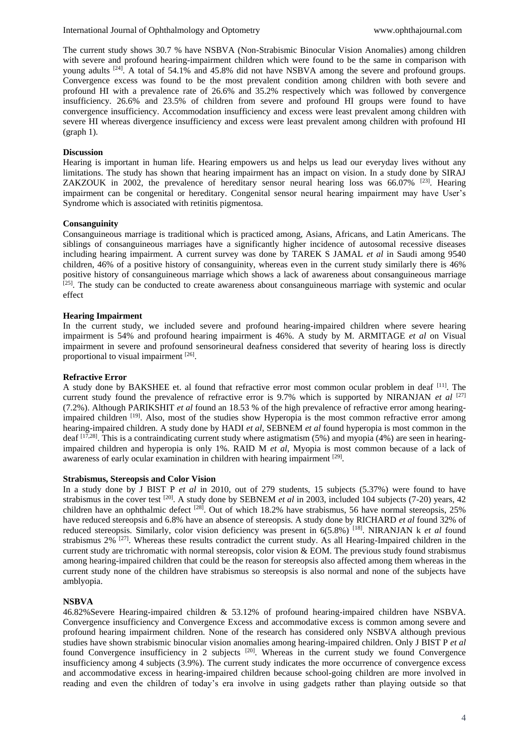The current study shows 30.7 % have NSBVA (Non-Strabismic Binocular Vision Anomalies) among children with severe and profound hearing-impairment children which were found to be the same in comparison with young adults  $[24]$ . A total of 54.1% and 45.8% did not have NSBVA among the severe and profound groups. Convergence excess was found to be the most prevalent condition among children with both severe and profound HI with a prevalence rate of 26.6% and 35.2% respectively which was followed by convergence insufficiency. 26.6% and 23.5% of children from severe and profound HI groups were found to have convergence insufficiency. Accommodation insufficiency and excess were least prevalent among children with severe HI whereas divergence insufficiency and excess were least prevalent among children with profound HI (graph 1).

### **Discussion**

Hearing is important in human life. Hearing empowers us and helps us lead our everyday lives without any limitations. The study has shown that hearing impairment has an impact on vision. In a study done by SIRAJ ZAKZOUK in 2002, the prevalence of hereditary sensor neural hearing loss was  $66.07\%$  <sup>[23]</sup>. Hearing impairment can be congenital or hereditary. Congenital sensor neural hearing impairment may have User's Syndrome which is associated with retinitis pigmentosa.

### **Consanguinity**

Consanguineous marriage is traditional which is practiced among, Asians, Africans, and Latin Americans. The siblings of consanguineous marriages have a significantly higher incidence of autosomal recessive diseases including hearing impairment. A current survey was done by TAREK S JAMAL *et al* in Saudi among 9540 children, 46% of a positive history of consanguinity, whereas even in the current study similarly there is 46% positive history of consanguineous marriage which shows a lack of awareness about consanguineous marriage  $[25]$ . The study can be conducted to create awareness about consanguineous marriage with systemic and ocular effect

### **Hearing Impairment**

In the current study, we included severe and profound hearing-impaired children where severe hearing impairment is 54% and profound hearing impairment is 46%. A study by M. ARMITAGE *et al* on Visual impairment in severe and profound sensorineural deafness considered that severity of hearing loss is directly proportional to visual impairment [26].

#### **Refractive Error**

A study done by BAKSHEE et. al found that refractive error most common ocular problem in deaf [11]. The current study found the prevalence of refractive error is 9.7% which is supported by NIRANJAN *et al* [27] (7.2%). Although PARIKSHIT *et al* found an 18.53 % of the high prevalence of refractive error among hearingimpaired children <sup>[19]</sup>. Also, most of the studies show Hyperopia is the most common refractive error among hearing-impaired children. A study done by HADI *et al*, SEBNEM *et al* found hyperopia is most common in the deaf [17,28]. This is a contraindicating current study where astigmatism (5%) and myopia (4%) are seen in hearingimpaired children and hyperopia is only 1%. RAID M *et al*, Myopia is most common because of a lack of awareness of early ocular examination in children with hearing impairment [29].

#### **Strabismus, Stereopsis and Color Vision**

In a study done by J BIST P *et al* in 2010, out of 279 students, 15 subjects (5.37%) were found to have strabismus in the cover test  $^{[20]}$ . A study done by SEBNEM *et al* in 2003, included 104 subjects (7-20) years, 42 children have an ophthalmic defect  $^{[28]}$ . Out of which 18.2% have strabismus, 56 have normal stereopsis, 25% have reduced stereopsis and 6.8% have an absence of stereopsis. A study done by RICHARD *et al* found 32% of reduced stereopsis. Similarly, color vision deficiency was present in 6(5.8%) [18]. NIRANJAN k *et al* found strabismus  $2\%$  <sup>[27]</sup>. Whereas these results contradict the current study. As all Hearing-Impaired children in the current study are trichromatic with normal stereopsis, color vision & EOM. The previous study found strabismus among hearing-impaired children that could be the reason for stereopsis also affected among them whereas in the current study none of the children have strabismus so stereopsis is also normal and none of the subjects have amblyopia.

### **NSBVA**

46.82%Severe Hearing-impaired children & 53.12% of profound hearing-impaired children have NSBVA. Convergence insufficiency and Convergence Excess and accommodative excess is common among severe and profound hearing impairment children. None of the research has considered only NSBVA although previous studies have shown strabismic binocular vision anomalies among hearing-impaired children. Only J BIST P *et al* found Convergence insufficiency in 2 subjects <sup>[20]</sup>. Whereas in the current study we found Convergence insufficiency among 4 subjects (3.9%). The current study indicates the more occurrence of convergence excess and accommodative excess in hearing-impaired children because school-going children are more involved in reading and even the children of today's era involve in using gadgets rather than playing outside so that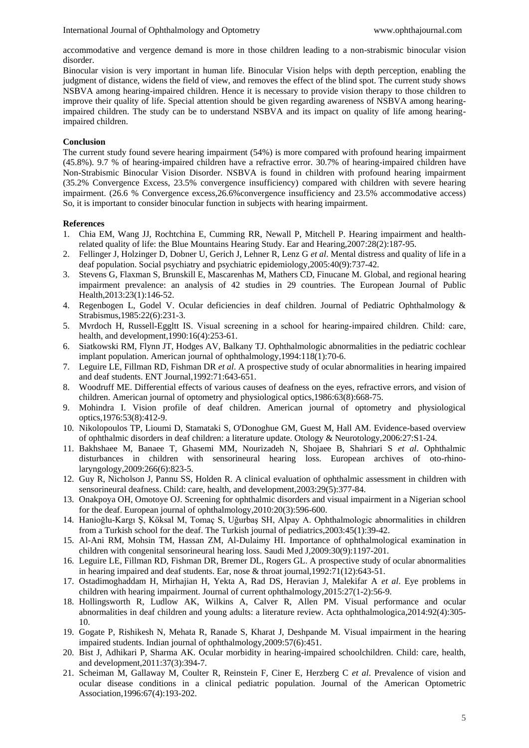accommodative and vergence demand is more in those children leading to a non-strabismic binocular vision disorder.

Binocular vision is very important in human life. Binocular Vision helps with depth perception, enabling the judgment of distance, widens the field of view, and removes the effect of the blind spot. The current study shows NSBVA among hearing-impaired children. Hence it is necessary to provide vision therapy to those children to improve their quality of life. Special attention should be given regarding awareness of NSBVA among hearingimpaired children. The study can be to understand NSBVA and its impact on quality of life among hearingimpaired children.

# **Conclusion**

The current study found severe hearing impairment (54%) is more compared with profound hearing impairment (45.8%). 9.7 % of hearing-impaired children have a refractive error. 30.7% of hearing-impaired children have Non-Strabismic Binocular Vision Disorder. NSBVA is found in children with profound hearing impairment (35.2% Convergence Excess, 23.5% convergence insufficiency) compared with children with severe hearing impairment. (26.6 % Convergence excess,26.6%convergence insufficiency and 23.5% accommodative access) So, it is important to consider binocular function in subjects with hearing impairment.

### **References**

- 1. Chia EM, Wang JJ, Rochtchina E, Cumming RR, Newall P, Mitchell P. Hearing impairment and healthrelated quality of life: the Blue Mountains Hearing Study. Ear and Hearing,2007:28(2):187-95.
- 2. Fellinger J, Holzinger D, Dobner U, Gerich J, Lehner R, Lenz G *et al*. Mental distress and quality of life in a deaf population. Social psychiatry and psychiatric epidemiology,2005:40(9):737-42.
- 3. Stevens G, Flaxman S, Brunskill E, Mascarenhas M, Mathers CD, Finucane M. Global, and regional hearing impairment prevalence: an analysis of 42 studies in 29 countries. The European Journal of Public Health,2013:23(1):146-52.
- 4. Regenbogen L, Godel V. Ocular deficiencies in deaf children. Journal of Pediatric Ophthalmology & Strabismus,1985:22(6):231-3.
- 5. Mvrdoch H, Russell-Eggltt IS. Visual screening in a school for hearing-impaired children. Child: care, health, and development,1990:16(4):253-61.
- 6. Siatkowski RM, Flynn JT, Hodges AV, Balkany TJ. Ophthalmologic abnormalities in the pediatric cochlear implant population. American journal of ophthalmology,1994:118(1):70-6.
- 7. Leguire LE, Fillman RD, Fishman DR *et al*. A prospective study of ocular abnormalities in hearing impaired and deaf students. ENT Journal,1992:71:643-651.
- 8. Woodruff ME. Differential effects of various causes of deafness on the eyes, refractive errors, and vision of children. American journal of optometry and physiological optics,1986:63(8):668-75.
- 9. Mohindra I. Vision profile of deaf children. American journal of optometry and physiological optics,1976:53(8):412-9.
- 10. Nikolopoulos TP, Lioumi D, Stamataki S, O'Donoghue GM, Guest M, Hall AM. Evidence-based overview of ophthalmic disorders in deaf children: a literature update. Otology & Neurotology,2006:27:S1-24.
- 11. Bakhshaee M, Banaee T, Ghasemi MM, Nourizadeh N, Shojaee B, Shahriari S *et al*. Ophthalmic disturbances in children with sensorineural hearing loss. European archives of oto-rhinolaryngology,2009:266(6):823-5.
- 12. Guy R, Nicholson J, Pannu SS, Holden R. A clinical evaluation of ophthalmic assessment in children with sensorineural deafness. Child: care, health, and development,2003:29(5):377-84.
- 13. Onakpoya OH, Omotoye OJ. Screening for ophthalmic disorders and visual impairment in a Nigerian school for the deaf. European journal of ophthalmology,2010:20(3):596-600.
- 14. Hanioğlu-Kargı Ş, Köksal M, Tomaç S, Uğurbaş SH, Alpay A. Ophthalmologic abnormalities in children from a Turkish school for the deaf. The Turkish journal of pediatrics,2003:45(1):39-42.
- 15. Al-Ani RM, Mohsin TM, Hassan ZM, Al-Dulaimy HI. Importance of ophthalmological examination in children with congenital sensorineural hearing loss. Saudi Med J,2009:30(9):1197-201.
- 16. Leguire LE, Fillman RD, Fishman DR, Bremer DL, Rogers GL. A prospective study of ocular abnormalities in hearing impaired and deaf students. Ear, nose & throat journal,1992:71(12):643-51.
- 17. Ostadimoghaddam H, Mirhajian H, Yekta A, Rad DS, Heravian J, Malekifar A *et al*. Eye problems in children with hearing impairment. Journal of current ophthalmology,2015:27(1-2):56-9.
- 18. Hollingsworth R, Ludlow AK, Wilkins A, Calver R, Allen PM. Visual performance and ocular abnormalities in deaf children and young adults: a literature review. Acta ophthalmologica,2014:92(4):305- 10.
- 19. Gogate P, Rishikesh N, Mehata R, Ranade S, Kharat J, Deshpande M. Visual impairment in the hearing impaired students. Indian journal of ophthalmology,2009:57(6):451.
- 20. Bist J, Adhikari P, Sharma AK. Ocular morbidity in hearing-impaired schoolchildren. Child: care, health, and development,2011:37(3):394-7.
- 21. Scheiman M, Gallaway M, Coulter R, Reinstein F, Ciner E, Herzberg C *et al*. Prevalence of vision and ocular disease conditions in a clinical pediatric population. Journal of the American Optometric Association,1996:67(4):193-202.